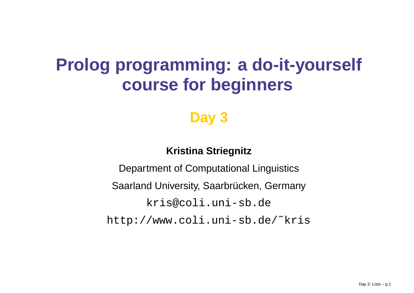# **Prolog programming: <sup>a</sup> do-it-yourself course for beginners**

### **Day 3**

### **Kristina Striegnitz**

Department of Computational Linguistics Saarland University, Saarbrücken, Germany <kris@coli.uni-sb.de>[http://www.coli.uni-sb.de/˜kris](http://www.coli.uni-sb.de/~kris)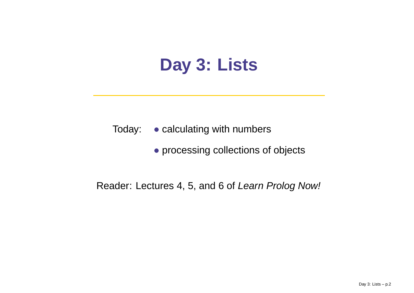# **Day 3: Lists**

- Today: calculating with numbers
	- processing collections of objects

### Reader: Lectures 4, 5, and 6 of *Learn Prolog Now!*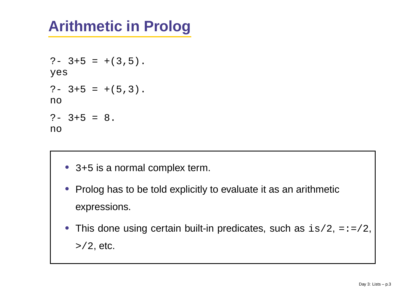# **Arithmetic in Prolog**

```
?- 3+5 = +(3,5).
yes
?- 3+5 = +(5,3).
no?- 3+5 = 8.
no
```
- 3+5 is a normal complex term.
- Prolog has to be told explicitly to evaluate it as an arithmetic expressions.
- This done using certain built-in predicates, such as  $\mathtt{is}/2$ , =:=/2, >/2, etc.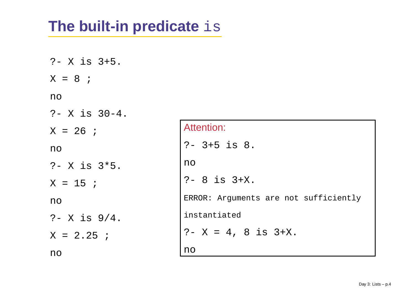### **The built-in predicate** is

?- X is 3+5. X <sup>=</sup> 8 ; no ?- X is 30-4. X <sup>=</sup> 26 ; no?- X is 3\*5. X <sup>=</sup> 15 ; no ?- X is 9/4.  $X = 2.25$  ; no

| Attention:                            |
|---------------------------------------|
| $? - 3 + 5$ is 8.                     |
| no                                    |
| $? - 8$ is $3+X$ .                    |
| ERROR: Arguments are not sufficiently |
| instantiated                          |
| $? - X = 4$ , 8 is $3+X$ .            |
| no                                    |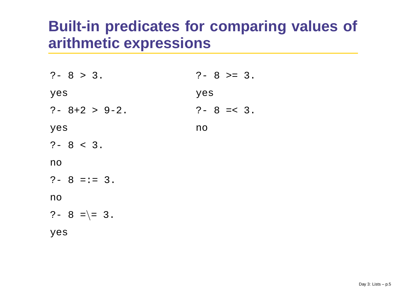### **Built-in predicates for comparing values of arithmetic expressions**

| $? - 8 > 3.$          | $? - 8 > = 3.$ |
|-----------------------|----------------|
| yes                   | yes            |
| $? - 8 + 2 > 9 - 2$ . | $? - 8 = < 3.$ |
| yes                   | no             |
| $? - 8 < 3.$          |                |
| no                    |                |
| $? - 8 == 3.$         |                |
| no                    |                |
| $? - 8 =  = 3.$       |                |
| yes                   |                |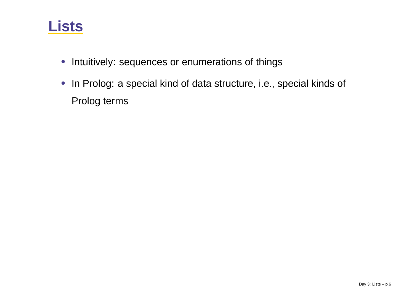### **Lists**

- Intuitively: sequences or enumerations of things
- In Prolog: <sup>a</sup> special kind of data structure, i.e., special kinds of Prolog terms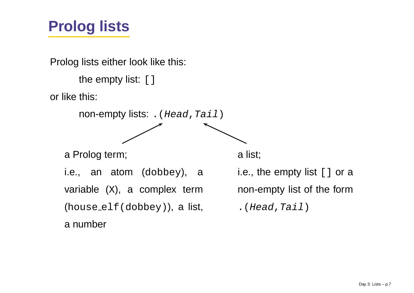## **Prolog lists**

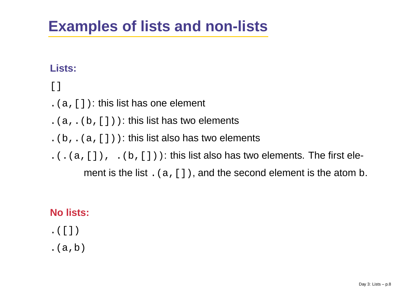### **Examples of lists and non-lists**

### **Lists:**

### $[ ]$

- $(a,[] )$ : this list has one element
- $(a, (b, [])$ : this list has two elements
- $(k, \ldots, k, \lceil \cdot \rceil)$ : this list also has two elements
- $.(\ .(\ a, [\ ]), \ .(b, [\ ]))$ : this list also has two elements. The first ele-

ment is the list  $\,$  . (  $\,$  , [  $\,$  ] ), and the second element is the atom  $\rm{b}$ .

### **No lists:**

- $\cdot$  ([])
- . $(a,b)$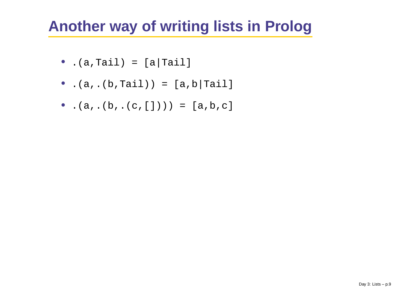### **Another way of writing lists in Prolog**

- $\bullet$  .(a,Tail) = [a|Tail]
- .(a,.(b,Tail)) = [a,b|Tail]
- .(a,.(b,.(c,[]))) <sup>=</sup> [a,b,c]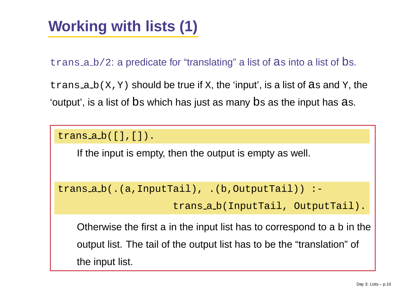# **Working with lists (1)**

trans <sup>a</sup> b/2: <sup>a</sup> predicate for "translating" <sup>a</sup> list of <sup>a</sup><sup>s</sup> into <sup>a</sup> list of bs.

<code>trans\_a\_b(X,Y)</code> should be true if  $\mathrm{x},$  the 'input', is a list of as and  $\mathrm{y},$  the 'output', is <sup>a</sup> list of b<sup>s</sup> which has just as many b<sup>s</sup> as the input has <sup>a</sup>s.

trans <sup>a</sup> b([],[]).

If the input is empty, then the output is empty as well.

trans <sup>a</sup> b(.(a,InputTail), .(b,OutputTail)) :-

trans <sup>a</sup> b(InputTail, OutputTail).

Otherwise the first a in the input list has to correspond to a  $\mathtt b$  in the output list. The tail of the output list has to be the "translation" of the input list.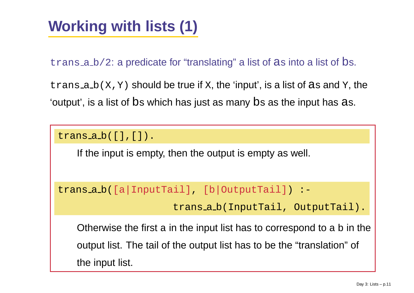# **Working with lists (1)**

trans <sup>a</sup> b/2: <sup>a</sup> predicate for "translating" <sup>a</sup> list of <sup>a</sup><sup>s</sup> into <sup>a</sup> list of bs.

<code>trans\_a\_b(X,Y)</code> should be true if  $\mathrm{x},$  the 'input', is a list of as and  $\mathrm{y},$  the 'output', is <sup>a</sup> list of b<sup>s</sup> which has just as many b<sup>s</sup> as the input has <sup>a</sup>s.

trans <sup>a</sup> b([],[]).

If the input is empty, then the output is empty as well.

trans <sup>a</sup> b([a|InputTail], [b|OutputTail]) :-

trans <sup>a</sup> b(InputTail, OutputTail).

Otherwise the first  $\mathtt a$  in the input list has to correspond to  $\mathtt a$   $\mathtt b$  in the output list. The tail of the output list has to be the "translation" of the input list.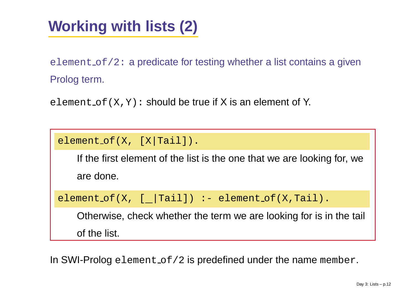# **Working with lists (2)**

<code>element\_of/2:</code> a predicate for testing whether a list contains a given Prolog term.

<code>element\_of(X,Y):</code> should be true if X is an element of Y.

```
element of(X, [X|Tail]).
```
If the first element of the list is the one that we are looking for, we are done.

```
element_of(X, [_|Tail]) :- element_of(X,Tail).
```
Otherwise, check whether the term we are looking for is in the tail of the list.

In SWI-Prolog <code>element\_of/2</code> is predefined under the name <code>member.</code>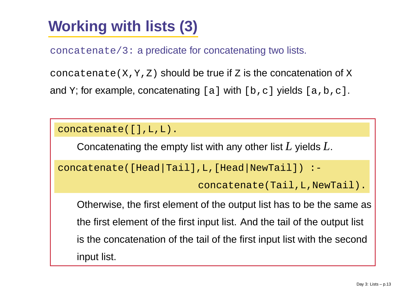# **Working with lists (3)**

concatenate/3: <sup>a</sup> predicate for concatenating two lists.

concatenate( $X, Y, Z$ ) should be true if  $Z$  is the concatenation of  $X$ and  $\mathtt{Y};$  for example, concatenating [a] with [b,c] yields [a,b,c].

```
concatenate([],L,L).
```
Concatenating the empty list with any other list *L* yields *L*.

```
concatenate([Head|Tail],L,[Head|NewTail]) :-
```
concatenate(Tail,L,NewTail).

Otherwise, the first element of the output list has to be the same as the first element of the first input list. And the tail of the output list is the concatenation of the tail of the first input list with the second input list.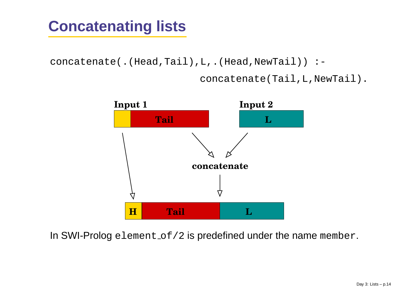## **Concatenating lists**

concatenate(.(Head,Tail),L,.(Head,NewTail)) :-

concatenate(Tail,L,NewTail).



In SWI-Prolog <code>element\_of/2</code> is predefined under the name <code>member.</code>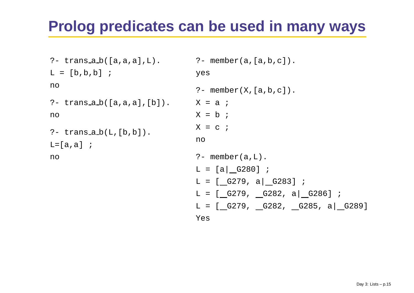### **Prolog predicates can be used in many ways**

```
?- trans a b([a,a,a],L).
L = [b,b,b] ;
no?- trans a b([a,a,a],[b]).
no?- trans a b(L,[b,b]).
L=[a,a] ;
no?- member(a,[a,b,c]).
                                 yes
                                  ?- member(X,[a,b,c]).
                                  X = a ;
                                  X = b ;
                                  X = c ;
                                 no?- member(a,L).
                                  \mathtt{L} = [a|_G280] ;
                                  L = [_G279, a|_G283] ;
                                  L = [_G279, _G282, a|_G286] ;
                                  L = [__G279, __G282, __G285, a|__G289]
                                 Yes
```